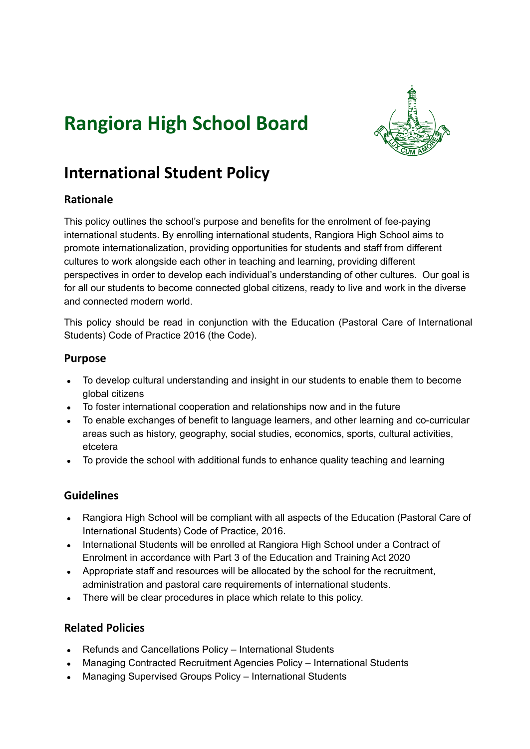# **Rangiora High School Board**



# **International Student Policy**

## **Rationale**

This policy outlines the school's purpose and benefits for the enrolment of fee-paying international students. By enrolling international students, Rangiora High School aims to promote internationalization, providing opportunities for students and staff from different cultures to work alongside each other in teaching and learning, providing different perspectives in order to develop each individual's understanding of other cultures. Our goal is for all our students to become connected global citizens, ready to live and work in the diverse and connected modern world.

This policy should be read in conjunction with the Education (Pastoral Care of International Students) Code of Practice 2016 (the Code).

#### **Purpose**

- To develop cultural understanding and insight in our students to enable them to become global citizens
- To foster international cooperation and relationships now and in the future
- To enable exchanges of benefit to language learners, and other learning and co-curricular areas such as history, geography, social studies, economics, sports, cultural activities, etcetera
- To provide the school with additional funds to enhance quality teaching and learning

#### **Guidelines**

- Rangiora High School will be compliant with all aspects of the Education (Pastoral Care of International Students) Code of Practice, 2016.
- International Students will be enrolled at Rangiora High School under a Contract of Enrolment in accordance with Part 3 of the Education and Training Act 2020
- Appropriate staff and resources will be allocated by the school for the recruitment, administration and pastoral care requirements of international students.
- There will be clear procedures in place which relate to this policy.

## **Related Policies**

- Refunds and Cancellations Policy International Students
- Managing Contracted Recruitment Agencies Policy International Students
- Managing Supervised Groups Policy International Students